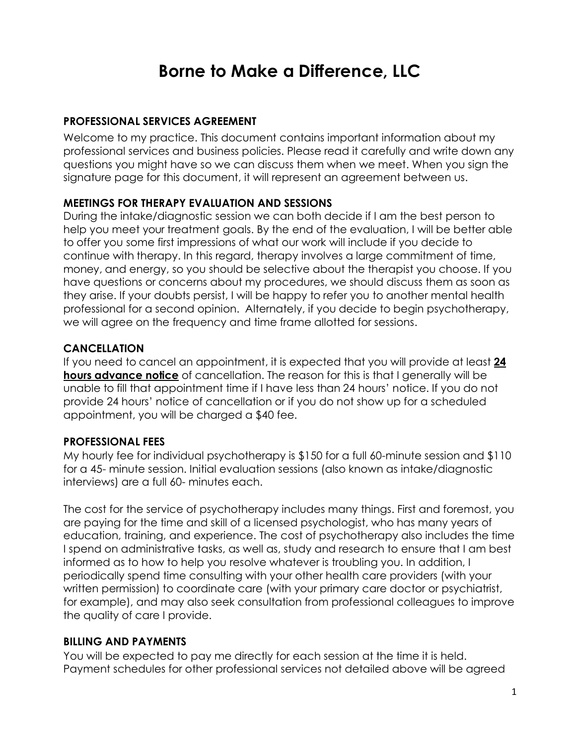# **Borne to Make a Difference, LLC**

## **PROFESSIONAL SERVICES AGREEMENT**

Welcome to my practice. This document contains important information about my professional services and business policies. Please read it carefully and write down any questions you might have so we can discuss them when we meet. When you sign the signature page for this document, it will represent an agreement between us.

#### **MEETINGS FOR THERAPY EVALUATION AND SESSIONS**

During the intake/diagnostic session we can both decide if I am the best person to help you meet your treatment goals. By the end of the evaluation, I will be better able to offer you some first impressions of what our work will include if you decide to continue with therapy. In this regard, therapy involves a large commitment of time, money, and energy, so you should be selective about the therapist you choose. If you have questions or concerns about my procedures, we should discuss them as soon as they arise. If your doubts persist, I will be happy to refer you to another mental health professional for a second opinion. Alternately, if you decide to begin psychotherapy, we will agree on the frequency and time frame allotted for sessions.

#### **CANCELLATION**

If you need to cancel an appointment, it is expected that you will provide at least **24 hours advance notice** of cancellation. The reason for this is that I generally will be unable to fill that appointment time if I have less than 24 hours' notice. If you do not provide 24 hours' notice of cancellation or if you do not show up for a scheduled appointment, you will be charged a \$40 fee.

#### **PROFESSIONAL FEES**

My hourly fee for individual psychotherapy is \$150 for a full 60-minute session and \$110 for a 45- minute session. Initial evaluation sessions (also known as intake/diagnostic interviews) are a full 60- minutes each.

The cost for the service of psychotherapy includes many things. First and foremost, you are paying for the time and skill of a licensed psychologist, who has many years of education, training, and experience. The cost of psychotherapy also includes the time I spend on administrative tasks, as well as, study and research to ensure that I am best informed as to how to help you resolve whatever is troubling you. In addition, I periodically spend time consulting with your other health care providers (with your written permission) to coordinate care (with your primary care doctor or psychiatrist, for example), and may also seek consultation from professional colleagues to improve the quality of care I provide.

#### **BILLING AND PAYMENTS**

You will be expected to pay me directly for each session at the time it is held. Payment schedules for other professional services not detailed above will be agreed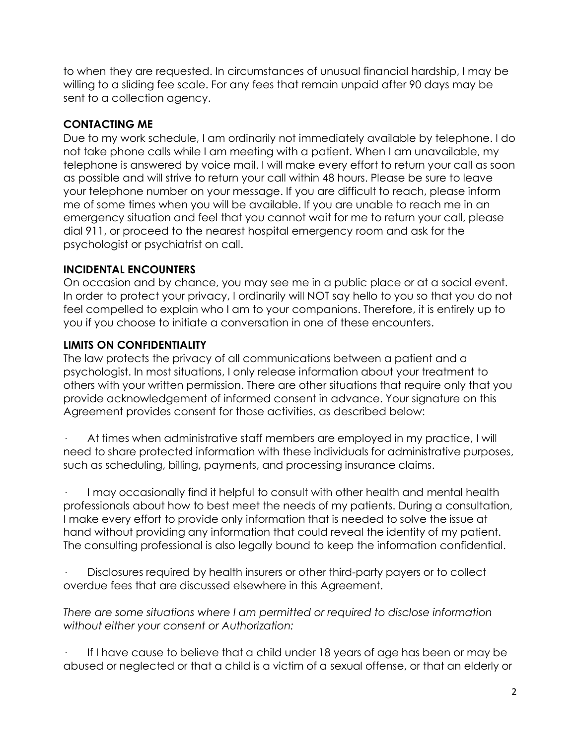to when they are requested. In circumstances of unusual financial hardship, I may be willing to a sliding fee scale. For any fees that remain unpaid after 90 days may be sent to a collection agency.

## **CONTACTING ME**

Due to my work schedule, I am ordinarily not immediately available by telephone. I do not take phone calls while I am meeting with a patient. When I am unavailable, my telephone is answered by voice mail. I will make every effort to return your call as soon as possible and will strive to return your call within 48 hours. Please be sure to leave your telephone number on your message. If you are difficult to reach, please inform me of some times when you will be available. If you are unable to reach me in an emergency situation and feel that you cannot wait for me to return your call, please dial 911, or proceed to the nearest hospital emergency room and ask for the psychologist or psychiatrist on call.

# **INCIDENTAL ENCOUNTERS**

On occasion and by chance, you may see me in a public place or at a social event. In order to protect your privacy, I ordinarily will NOT say hello to you so that you do not feel compelled to explain who I am to your companions. Therefore, it is entirely up to you if you choose to initiate a conversation in one of these encounters.

# **LIMITS ON CONFIDENTIALITY**

The law protects the privacy of all communications between a patient and a psychologist. In most situations, I only release information about your treatment to others with your written permission. There are other situations that require only that you provide acknowledgement of informed consent in advance. Your signature on this Agreement provides consent for those activities, as described below:

At times when administrative staff members are employed in my practice, I will need to share protected information with these individuals for administrative purposes, such as scheduling, billing, payments, and processing insurance claims.

· I may occasionally find it helpful to consult with other health and mental health professionals about how to best meet the needs of my patients. During a consultation, I make every effort to provide only information that is needed to solve the issue at hand without providing any information that could reveal the identity of my patient. The consulting professional is also legally bound to keep the information confidential.

Disclosures required by health insurers or other third-party payers or to collect overdue fees that are discussed elsewhere in this Agreement.

*There are some situations where I am permitted or required to disclose information without either your consent or Authorization:*

· If I have cause to believe that a child under 18 years of age has been or may be abused or neglected or that a child is a victim of a sexual offense, or that an elderly or